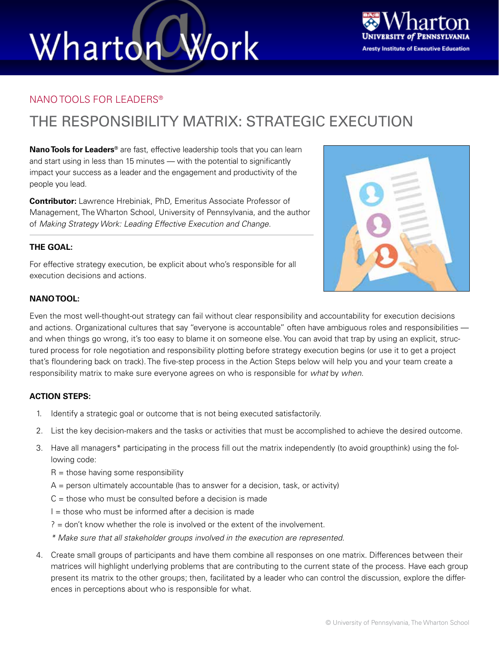# Wharton Work



#### NANO TOOLS FOR LEADERS®

### THE RESPONSIBILITY MATRIX: STRATEGIC EXECUTION

**Nano Tools for Leaders®** are fast, effective leadership tools that you can learn and start using in less than 15 minutes — with the potential to significantly impact your success as a leader and the engagement and productivity of the people you lead.

**Contributor:** Lawrence Hrebiniak, PhD, Emeritus Associate Professor of Management, The Wharton School, University of Pennsylvania, and the author of *Making Strategy Work: Leading Effective Execution and Change*.

#### **THE GOAL:**

For effective strategy execution, be explicit about who's responsible for all execution decisions and actions.



Even the most well-thought-out strategy can fail without clear responsibility and accountability for execution decisions and actions. Organizational cultures that say "everyone is accountable" often have ambiguous roles and responsibilities and when things go wrong, it's too easy to blame it on someone else. You can avoid that trap by using an explicit, structured process for role negotiation and responsibility plotting before strategy execution begins (or use it to get a project that's floundering back on track). The five-step process in the Action Steps below will help you and your team create a responsibility matrix to make sure everyone agrees on who is responsible for *what* by *when*.

#### **ACTION STEPS:**

- 1. Identify a strategic goal or outcome that is not being executed satisfactorily.
- 2. List the key decision-makers and the tasks or activities that must be accomplished to achieve the desired outcome.
- 3. Have all managers\* participating in the process fill out the matrix independently (to avoid groupthink) using the following code:
	- $R =$  those having some responsibility
	- $A =$  person ultimately accountable (has to answer for a decision, task, or activity)
	- $C =$  those who must be consulted before a decision is made
	- $I =$  those who must be informed after a decision is made
	- ? = don't know whether the role is involved or the extent of the involvement.
	- *\* Make sure that all stakeholder groups involved in the execution are represented.*
- 4. Create small groups of participants and have them combine all responses on one matrix. Differences between their matrices will highlight underlying problems that are contributing to the current state of the process. Have each group present its matrix to the other groups; then, facilitated by a leader who can control the discussion, explore the differences in perceptions about who is responsible for what.

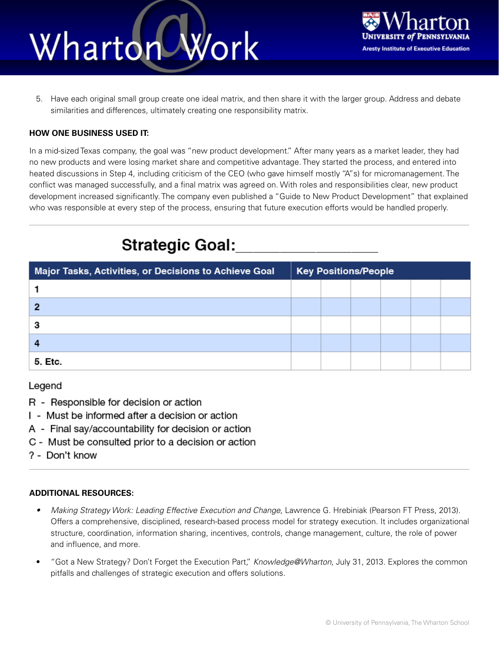## Work Wharton



5. Have each original small group create one ideal matrix, and then share it with the larger group. Address and debate similarities and differences, ultimately creating one responsibility matrix.

#### **HOW ONE BUSINESS USED IT:**

In a mid-sized Texas company, the goal was "new product development." After many years as a market leader, they had no new products and were losing market share and competitive advantage. They started the process, and entered into heated discussions in Step 4, including criticism of the CEO (who gave himself mostly "A"s) for micromanagement. The conflict was managed successfully, and a final matrix was agreed on. With roles and responsibilities clear, new product development increased significantly. The company even published a "Guide to New Product Development" that explained who was responsible at every step of the process, ensuring that future execution efforts would be handled properly.

### **Strategic Goal:**

| Major Tasks, Activities, or Decisions to Achieve Goal | <b>Key Positions/People</b> |  |  |  |  |  |
|-------------------------------------------------------|-----------------------------|--|--|--|--|--|
|                                                       |                             |  |  |  |  |  |
|                                                       |                             |  |  |  |  |  |
|                                                       |                             |  |  |  |  |  |
|                                                       |                             |  |  |  |  |  |
| 5. Etc.                                               |                             |  |  |  |  |  |

Legend

- R Responsible for decision or action
- I Must be informed after a decision or action
- A Final say/accountability for decision or action
- C Must be consulted prior to a decision or action
- ? Don't know

#### **ADDITIONAL RESOURCES:**

- *• Making Strategy Work: Leading Effective Execution and Change*, Lawrence G. Hrebiniak (Pearson FT Press, 2013). Offers a comprehensive, disciplined, research-based process model for strategy execution. It includes organizational structure, coordination, information sharing, incentives, controls, change management, culture, the role of power and influence, and more.
- "Got a New Strategy? Don't Forget the Execution Part," *Knowledge@Wharton*, July 31, 2013. Explores the common pitfalls and challenges of strategic execution and offers solutions.